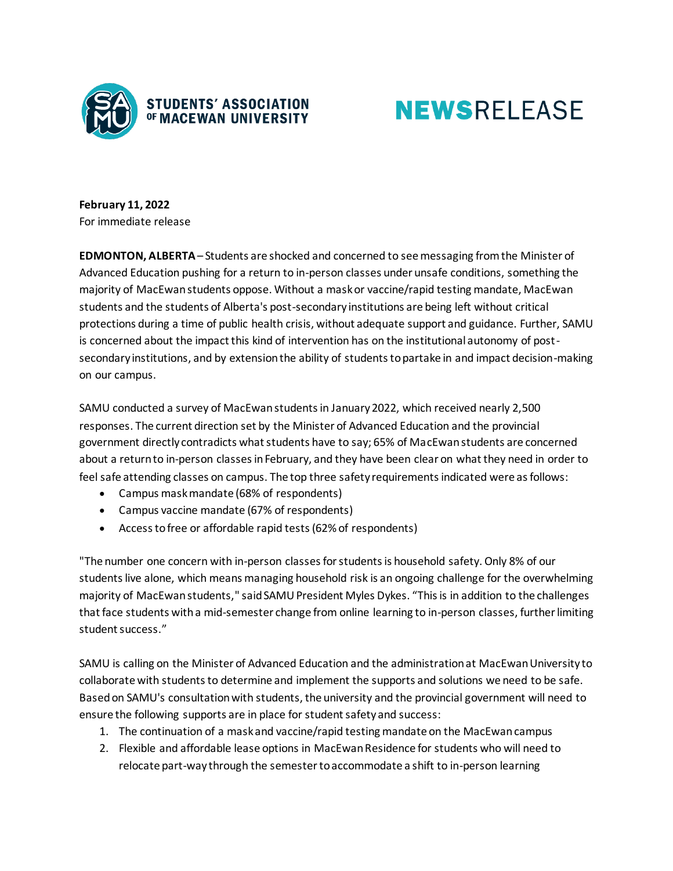

## **NEWSRELEASE**

**February 11, 2022** For immediate release

**EDMONTON, ALBERTA**– Students are shocked and concerned to see messaging from the Minister of Advanced Education pushing for a return to in-person classes under unsafe conditions, something the majority of MacEwan students oppose. Without a mask or vaccine/rapid testing mandate, MacEwan students and the students of Alberta's post-secondary institutions are being left without critical protections during a time of public health crisis, without adequate support and guidance. Further, SAMU is concerned about the impact this kind of intervention has on the institutional autonomy of postsecondary institutions, and by extension the ability of students to partake in and impact decision-making on our campus.

SAMU conducted a survey of MacEwan students in January 2022, which received nearly 2,500 responses. The current direction set by the Minister of Advanced Education and the provincial government directly contradicts what students have to say; 65% of MacEwan students are concerned about a return to in-person classes in February, and they have been clear on what they need in order to feel safe attending classes on campus. The top three safety requirements indicated were as follows:

- Campus mask mandate (68% of respondents)
- Campus vaccine mandate (67% of respondents)
- Access to free or affordable rapid tests (62% of respondents)

"The number one concern with in-person classes for students is household safety. Only 8% of our students live alone, which means managing household risk is an ongoing challenge for the overwhelming majority of MacEwan students," said SAMU President Myles Dykes. "This is in addition to the challenges that face students with a mid-semester change from online learning to in-person classes, further limiting student success."

SAMU is calling on the Minister of Advanced Education and the administration at MacEwan University to collaborate with students to determine and implement the supports and solutions we need to be safe. Based on SAMU's consultation with students, the university and the provincial government will need to ensure the following supports are in place for student safety and success:

- 1. The continuation of a mask and vaccine/rapid testing mandate on the MacEwan campus
- 2. Flexible and affordable lease options in MacEwan Residence for students who will need to relocate part-way through the semester to accommodate a shift to in-person learning